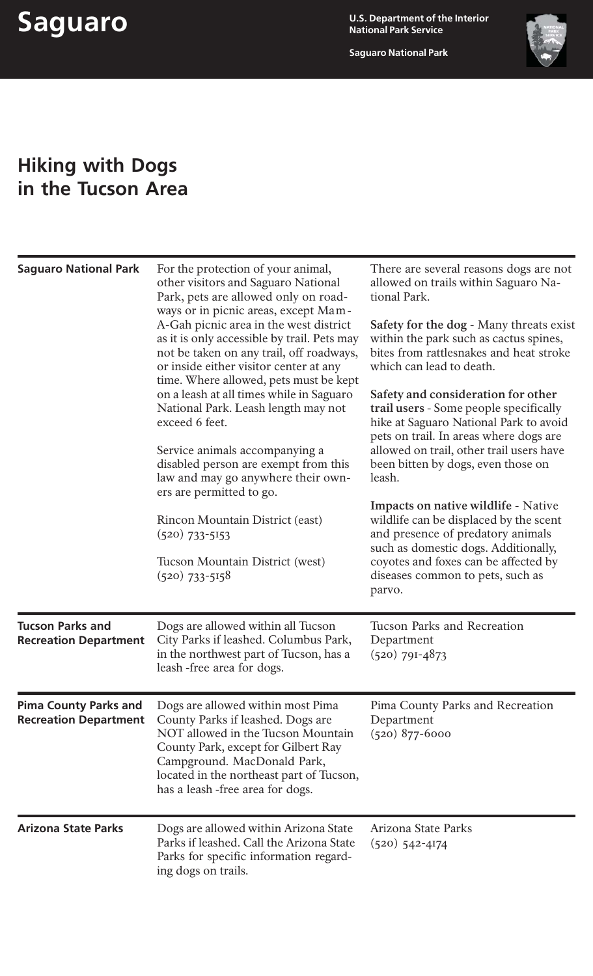**Saguaro National Park**



## **Hiking with Dogs in the Tucson Area**

| <b>Saguaro National Park</b>                                 | For the protection of your animal,<br>other visitors and Saguaro National<br>Park, pets are allowed only on road-<br>ways or in picnic areas, except Mam-<br>A-Gah picnic area in the west district<br>as it is only accessible by trail. Pets may<br>not be taken on any trail, off roadways,<br>or inside either visitor center at any<br>time. Where allowed, pets must be kept<br>on a leash at all times while in Saguaro<br>National Park. Leash length may not<br>exceed 6 feet.<br>Service animals accompanying a<br>disabled person are exempt from this<br>law and may go anywhere their own-<br>ers are permitted to go.<br>Rincon Mountain District (east)<br>$(520)$ 733-5153<br>Tucson Mountain District (west)<br>$(520)$ 733-5158 | There are several reasons dogs are not<br>allowed on trails within Saguaro Na-<br>tional Park.<br><b>Safety for the dog - Many threats exist</b><br>within the park such as cactus spines,<br>bites from rattlesnakes and heat stroke<br>which can lead to death.<br>Safety and consideration for other<br>trail users - Some people specifically<br>hike at Saguaro National Park to avoid<br>pets on trail. In areas where dogs are<br>allowed on trail, other trail users have<br>been bitten by dogs, even those on<br>leash.<br><b>Impacts on native wildlife - Native</b><br>wildlife can be displaced by the scent<br>and presence of predatory animals<br>such as domestic dogs. Additionally,<br>coyotes and foxes can be affected by<br>diseases common to pets, such as<br>parvo. |
|--------------------------------------------------------------|---------------------------------------------------------------------------------------------------------------------------------------------------------------------------------------------------------------------------------------------------------------------------------------------------------------------------------------------------------------------------------------------------------------------------------------------------------------------------------------------------------------------------------------------------------------------------------------------------------------------------------------------------------------------------------------------------------------------------------------------------|----------------------------------------------------------------------------------------------------------------------------------------------------------------------------------------------------------------------------------------------------------------------------------------------------------------------------------------------------------------------------------------------------------------------------------------------------------------------------------------------------------------------------------------------------------------------------------------------------------------------------------------------------------------------------------------------------------------------------------------------------------------------------------------------|
| <b>Tucson Parks and</b><br><b>Recreation Department</b>      | Dogs are allowed within all Tucson<br>City Parks if leashed. Columbus Park,<br>in the northwest part of Tucson, has a<br>leash -free area for dogs.                                                                                                                                                                                                                                                                                                                                                                                                                                                                                                                                                                                               | Tucson Parks and Recreation<br>Department<br>$(520)$ 79I-4873                                                                                                                                                                                                                                                                                                                                                                                                                                                                                                                                                                                                                                                                                                                                |
| <b>Pima County Parks and</b><br><b>Recreation Department</b> | Dogs are allowed within most Pima<br>County Parks if leashed. Dogs are<br>NOT allowed in the Tucson Mountain<br>County Park, except for Gilbert Ray<br>Campground. MacDonald Park,<br>located in the northeast part of Tucson,<br>has a leash-free area for dogs.                                                                                                                                                                                                                                                                                                                                                                                                                                                                                 | Pima County Parks and Recreation<br>Department<br>$(520)$ 877-6000                                                                                                                                                                                                                                                                                                                                                                                                                                                                                                                                                                                                                                                                                                                           |
| <b>Arizona State Parks</b>                                   | Dogs are allowed within Arizona State<br>Parks if leashed. Call the Arizona State<br>Parks for specific information regard-<br>ing dogs on trails.                                                                                                                                                                                                                                                                                                                                                                                                                                                                                                                                                                                                | Arizona State Parks<br>$(520)$ 542-4174                                                                                                                                                                                                                                                                                                                                                                                                                                                                                                                                                                                                                                                                                                                                                      |